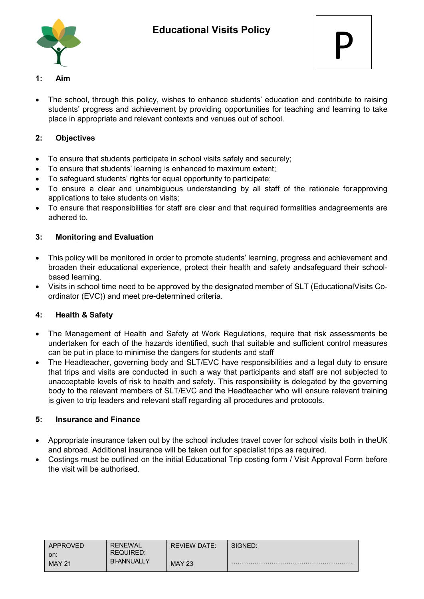

- **1: Aim**
- The school, through this policy, wishes to enhance students' education and contribute to raising students' progress and achievement by providing opportunities for teaching and learning to take place in appropriate and relevant contexts and venues out of school.

## **2: Objectives**

- To ensure that students participate in school visits safely and securely;
- To ensure that students' learning is enhanced to maximum extent;
- To safeguard students' rights for equal opportunity to participate;
- To ensure a clear and unambiguous understanding by all staff of the rationale forapproving applications to take students on visits;
- To ensure that responsibilities for staff are clear and that required formalities andagreements are adhered to.

### **3: Monitoring and Evaluation**

- This policy will be monitored in order to promote students' learning, progress and achievement and broaden their educational experience, protect their health and safety andsafeguard their schoolbased learning.
- Visits in school time need to be approved by the designated member of SLT (EducationalVisits Coordinator (EVC)) and meet pre-determined criteria.

## **4: Health & Safety**

- The Management of Health and Safety at Work Regulations, require that risk assessments be undertaken for each of the hazards identified, such that suitable and sufficient control measures can be put in place to minimise the dangers for students and staff
- The Headteacher, governing body and SLT/EVC have responsibilities and a legal duty to ensure that trips and visits are conducted in such a way that participants and staff are not subjected to unacceptable levels of risk to health and safety. This responsibility is delegated by the governing body to the relevant members of SLT/EVC and the Headteacher who will ensure relevant training is given to trip leaders and relevant staff regarding all procedures and protocols.

#### **5: Insurance and Finance**

- Appropriate insurance taken out by the school includes travel cover for school visits both in theUK and abroad. Additional insurance will be taken out for specialist trips as required.
- Costings must be outlined on the initial Educational Trip costing form / Visit Approval Form before the visit will be authorised.

| APPROVED<br>on: | <b>RENEWAL</b><br><b>REQUIRED:</b><br><b>BI-ANNUALLY</b> | <b>REVIEW DATE:</b> | SIGNED: |
|-----------------|----------------------------------------------------------|---------------------|---------|
| <b>MAY 21</b>   |                                                          | <b>MAY 23</b>       |         |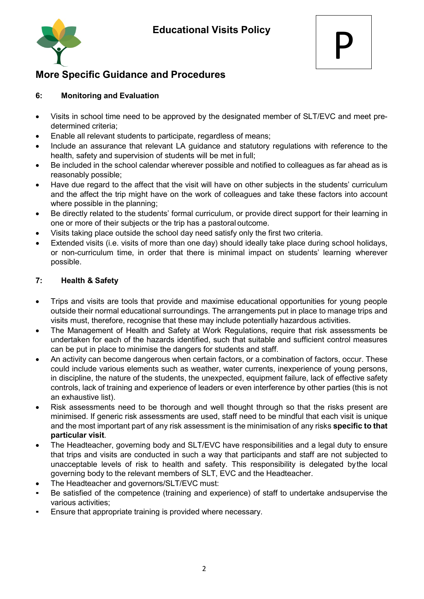



## **More Specific Guidance and Procedures**

## **6: Monitoring and Evaluation**

- Visits in school time need to be approved by the designated member of SLT/EVC and meet predetermined criteria;
- Enable all relevant students to participate, regardless of means;
- Include an assurance that relevant LA guidance and statutory regulations with reference to the health, safety and supervision of students will be met in full;
- Be included in the school calendar wherever possible and notified to colleagues as far ahead as is reasonably possible;
- Have due regard to the affect that the visit will have on other subjects in the students' curriculum and the affect the trip might have on the work of colleagues and take these factors into account where possible in the planning;
- Be directly related to the students' formal curriculum, or provide direct support for their learning in one or more of their subjects or the trip has a pastoral outcome.
- Visits taking place outside the school day need satisfy only the first two criteria.
- Extended visits (i.e. visits of more than one day) should ideally take place during school holidays, or non-curriculum time, in order that there is minimal impact on students' learning wherever possible.

## **7: Health & Safety**

- Trips and visits are tools that provide and maximise educational opportunities for young people outside their normal educational surroundings. The arrangements put in place to manage trips and visits must, therefore, recognise that these may include potentially hazardous activities.
- The Management of Health and Safety at Work Regulations, require that risk assessments be undertaken for each of the hazards identified, such that suitable and sufficient control measures can be put in place to minimise the dangers for students and staff.
- An activity can become dangerous when certain factors, or a combination of factors, occur. These could include various elements such as weather, water currents, inexperience of young persons, in discipline, the nature of the students, the unexpected, equipment failure, lack of effective safety controls, lack of training and experience of leaders or even interference by other parties (this is not an exhaustive list).
- Risk assessments need to be thorough and well thought through so that the risks present are minimised. If generic risk assessments are used, staff need to be mindful that each visit is unique and the most important part of any risk assessment is the minimisation of any risks **specific to that particular visit**.
- The Headteacher, governing body and SLT/EVC have responsibilities and a legal duty to ensure that trips and visits are conducted in such a way that participants and staff are not subjected to unacceptable levels of risk to health and safety. This responsibility is delegated bythe local governing body to the relevant members of SLT, EVC and the Headteacher.
- The Headteacher and governors/SLT/EVC must:
- Be satisfied of the competence (training and experience) of staff to undertake andsupervise the various activities;
- Ensure that appropriate training is provided where necessary.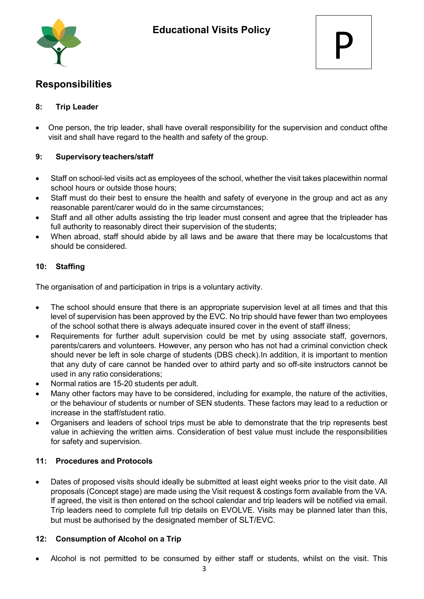

# **Responsibilities**

### **8: Trip Leader**

• One person, the trip leader, shall have overall responsibility for the supervision and conduct ofthe visit and shall have regard to the health and safety of the group.

#### **9: Supervisory teachers/staff**

- Staff on school-led visits act as employees of the school, whether the visit takes placewithin normal school hours or outside those hours;
- Staff must do their best to ensure the health and safety of everyone in the group and act as any reasonable parent/carer would do in the same circumstances;
- Staff and all other adults assisting the trip leader must consent and agree that the tripleader has full authority to reasonably direct their supervision of the students;
- When abroad, staff should abide by all laws and be aware that there may be localcustoms that should be considered.

### **10: Staffing**

The organisation of and participation in trips is a voluntary activity.

- The school should ensure that there is an appropriate supervision level at all times and that this level of supervision has been approved by the EVC. No trip should have fewer than two employees of the school sothat there is always adequate insured cover in the event of staff illness;
- Requirements for further adult supervision could be met by using associate staff, governors, parents/carers and volunteers. However, any person who has not had a criminal conviction check should never be left in sole charge of students (DBS check).In addition, it is important to mention that any duty of care cannot be handed over to athird party and so off-site instructors cannot be used in any ratio considerations;
- Normal ratios are 15-20 students per adult.
- Many other factors may have to be considered, including for example, the nature of the activities, or the behaviour of students or number of SEN students. These factors may lead to a reduction or increase in the staff/student ratio.
- Organisers and leaders of school trips must be able to demonstrate that the trip represents best value in achieving the written aims. Consideration of best value must include the responsibilities for safety and supervision.

#### **11: Procedures and Protocols**

• Dates of proposed visits should ideally be submitted at least eight weeks prior to the visit date. All proposals (Concept stage) are made using the Visit request & costings form available from the VA. If agreed, the visit is then entered on the school calendar and trip leaders will be notified via email. Trip leaders need to complete full trip details on EVOLVE. Visits may be planned later than this, but must be authorised by the designated member of SLT/EVC.

#### **12: Consumption of Alcohol on a Trip**

• Alcohol is not permitted to be consumed by either staff or students, whilst on the visit. This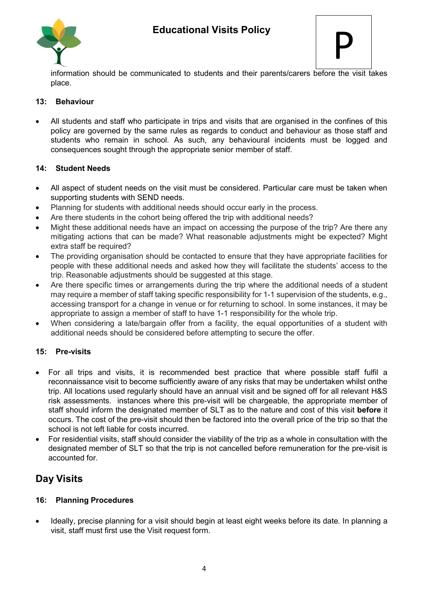



information should be communicated to students and their parents/carers before the visit takes place.

#### **13: Behaviour**

• All students and staff who participate in trips and visits that are organised in the confines of this policy are governed by the same rules as regards to conduct and behaviour as those staff and students who remain in school. As such, any behavioural incidents must be logged and consequences sought through the appropriate senior member of staff.

#### **14: Student Needs**

- All aspect of student needs on the visit must be considered. Particular care must be taken when supporting students with SEND needs.
- Planning for students with additional needs should occur early in the process.
- Are there students in the cohort being offered the trip with additional needs?
- Might these additional needs have an impact on accessing the purpose of the trip? Are there any mitigating actions that can be made? What reasonable adjustments might be expected? Might extra staff be required?
- The providing organisation should be contacted to ensure that they have appropriate facilities for people with these additional needs and asked how they will facilitate the students' access to the trip. Reasonable adjustments should be suggested at this stage.
- Are there specific times or arrangements during the trip where the additional needs of a student may require a member of staff taking specific responsibility for 1-1 supervision of the students, e.g., accessing transport for a change in venue or for returning to school. In some instances, it may be appropriate to assign a member of staff to have 1-1 responsibility for the whole trip.
- When considering a late/bargain offer from a facility, the equal opportunities of a student with additional needs should be considered before attempting to secure the offer.

#### **15: Pre-visits**

- For all trips and visits, it is recommended best practice that where possible staff fulfil a reconnaissance visit to become sufficiently aware of any risks that may be undertaken whilst onthe trip. All locations used regularly should have an annual visit and be signed off for all relevant H&S risk assessments. instances where this pre-visit will be chargeable, the appropriate member of staff should inform the designated member of SLT as to the nature and cost of this visit **before** it occurs. The cost of the pre-visit should then be factored into the overall price of the trip so that the school is not left liable for costs incurred.
- For residential visits, staff should consider the viability of the trip as a whole in consultation with the designated member of SLT so that the trip is not cancelled before remuneration for the pre-visit is accounted for.

## **Day Visits**

#### **16: Planning Procedures**

• Ideally, precise planning for a visit should begin at least eight weeks before its date*.* In planning a visit, staff must first use the Visit request form.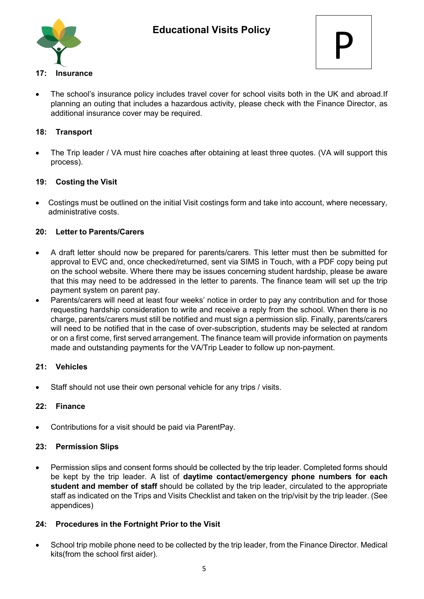



### **17: Insurance**

The school's insurance policy includes travel cover for school visits both in the UK and abroad.If planning an outing that includes a hazardous activity, please check with the Finance Director, as additional insurance cover may be required.

#### **18: Transport**

The Trip leader / VA must hire coaches after obtaining at least three quotes. (VA will support this process).

### **19: Costing the Visit**

• Costings must be outlined on the initial Visit costings form and take into account, where necessary, administrative costs.

### **20: Letter to Parents/Carers**

- A draft letter should now be prepared for parents/carers. This letter must then be submitted for approval to EVC and, once checked/returned, sent via SIMS in Touch, with a PDF copy being put on the school website. Where there may be issues concerning student hardship, please be aware that this may need to be addressed in the letter to parents. The finance team will set up the trip payment system on parent pay.
- Parents/carers will need at least four weeks' notice in order to pay any contribution and for those requesting hardship consideration to write and receive a reply from the school. When there is no charge, parents/carers must still be notified and must sign a permission slip. Finally, parents/carers will need to be notified that in the case of over-subscription, students may be selected at random or on a first come, first served arrangement. The finance team will provide information on payments made and outstanding payments for the VA/Trip Leader to follow up non-payment.

#### **21: Vehicles**

Staff should not use their own personal vehicle for any trips / visits.

#### **22: Finance**

• Contributions for a visit should be paid via ParentPay.

#### **23: Permission Slips**

• Permission slips and consent forms should be collected by the trip leader. Completed forms should be kept by the trip leader. A list of **daytime contact/emergency phone numbers for each student and member of staff** should be collated by the trip leader, circulated to the appropriate staff as indicated on the Trips and Visits Checklist and taken on the trip/visit by the trip leader. (See appendices)

#### **24: Procedures in the Fortnight Prior to the Visit**

• School trip mobile phone need to be collected by the trip leader, from the Finance Director. Medical kits(from the school first aider).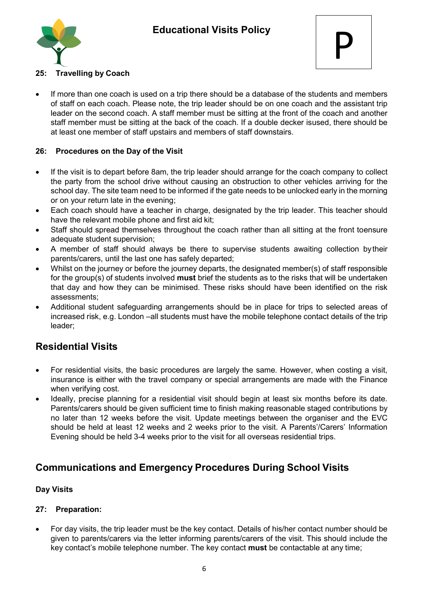



### **25: Travelling by Coach**

If more than one coach is used on a trip there should be a database of the students and members of staff on each coach. Please note, the trip leader should be on one coach and the assistant trip leader on the second coach. A staff member must be sitting at the front of the coach and another staff member must be sitting at the back of the coach. If a double decker isused, there should be at least one member of staff upstairs and members of staff downstairs.

#### **26: Procedures on the Day of the Visit**

- If the visit is to depart before 8am, the trip leader should arrange for the coach company to collect the party from the school drive without causing an obstruction to other vehicles arriving for the school day. The site team need to be informed if the gate needs to be unlocked early in the morning or on your return late in the evening;
- Each coach should have a teacher in charge, designated by the trip leader. This teacher should have the relevant mobile phone and first aid kit;
- Staff should spread themselves throughout the coach rather than all sitting at the front toensure adequate student supervision;
- A member of staff should always be there to supervise students awaiting collection bytheir parents/carers, until the last one has safely departed;
- Whilst on the journey or before the journey departs, the designated member(s) of staff responsible for the group(s) of students involved **must** brief the students as to the risks that will be undertaken that day and how they can be minimised. These risks should have been identified on the risk assessments;
- Additional student safeguarding arrangements should be in place for trips to selected areas of increased risk, e.g. London –all students must have the mobile telephone contact details of the trip leader;

## **Residential Visits**

- For residential visits, the basic procedures are largely the same. However, when costing a visit, insurance is either with the travel company or special arrangements are made with the Finance when verifying cost.
- Ideally, precise planning for a residential visit should begin at least six months before its date. Parents/carers should be given sufficient time to finish making reasonable staged contributions by no later than 12 weeks before the visit. Update meetings between the organiser and the EVC should be held at least 12 weeks and 2 weeks prior to the visit. A Parents'/Carers' Information Evening should be held 3-4 weeks prior to the visit for all overseas residential trips.

## **Communications and Emergency Procedures During School Visits**

#### **Day Visits**

#### **27: Preparation:**

• For day visits, the trip leader must be the key contact. Details of his/her contact number should be given to parents/carers via the letter informing parents/carers of the visit. This should include the key contact's mobile telephone number. The key contact **must** be contactable at any time;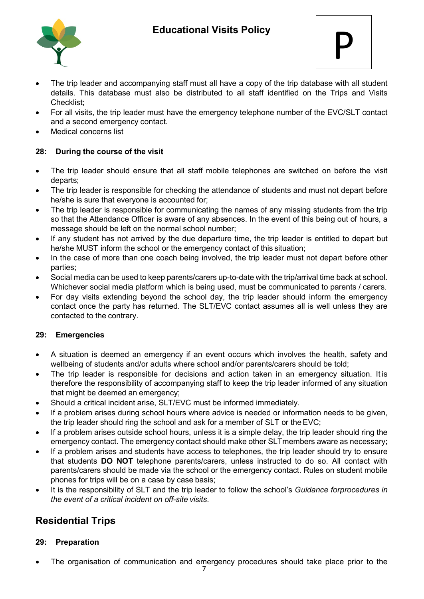

- The trip leader and accompanying staff must all have a copy of the trip database with all student details. This database must also be distributed to all staff identified on the Trips and Visits Checklist;
- For all visits, the trip leader must have the emergency telephone number of the EVC/SLT contact and a second emergency contact.
- Medical concerns list

## **28: During the course of the visit**

- The trip leader should ensure that all staff mobile telephones are switched on before the visit departs;
- The trip leader is responsible for checking the attendance of students and must not depart before he/she is sure that everyone is accounted for;
- The trip leader is responsible for communicating the names of any missing students from the trip so that the Attendance Officer is aware of any absences. In the event of this being out of hours, a message should be left on the normal school number;
- If any student has not arrived by the due departure time, the trip leader is entitled to depart but he/she MUST inform the school or the emergency contact of this situation;
- In the case of more than one coach being involved, the trip leader must not depart before other parties;
- Social media can be used to keep parents/carers up-to-date with the trip/arrival time back at school. Whichever social media platform which is being used, must be communicated to parents / carers.
- For day visits extending beyond the school day, the trip leader should inform the emergency contact once the party has returned. The SLT/EVC contact assumes all is well unless they are contacted to the contrary.

#### **29: Emergencies**

- A situation is deemed an emergency if an event occurs which involves the health, safety and wellbeing of students and/or adults where school and/or parents/carers should be told;
- The trip leader is responsible for decisions and action taken in an emergency situation. It is therefore the responsibility of accompanying staff to keep the trip leader informed of any situation that might be deemed an emergency;
- Should a critical incident arise, SLT/EVC must be informed immediately.
- If a problem arises during school hours where advice is needed or information needs to be given, the trip leader should ring the school and ask for a member of SLT or theEVC;
- If a problem arises outside school hours, unless it is a simple delay, the trip leader should ring the emergency contact. The emergency contact should make other SLTmembers aware as necessary;
- If a problem arises and students have access to telephones, the trip leader should try to ensure that students **DO NOT** telephone parents/carers, unless instructed to do so. All contact with parents/carers should be made via the school or the emergency contact. Rules on student mobile phones for trips will be on a case by case basis;
- It is the responsibility of SLT and the trip leader to follow the school's *Guidance forprocedures in the event of a critical incident on off-site visits*.

# **Residential Trips**

#### **29: Preparation**

7 The organisation of communication and emergency procedures should take place prior to the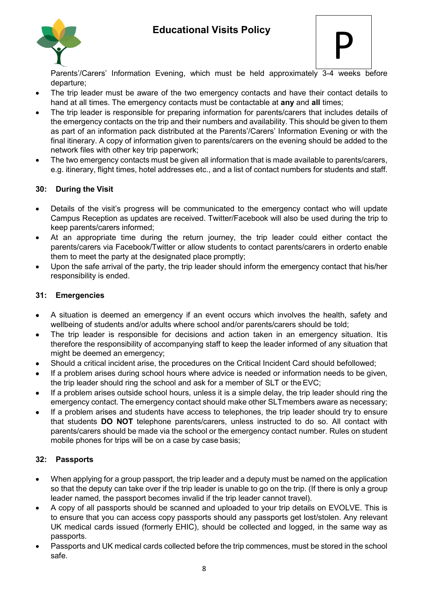

$$
\mathsf{P}
$$

Parents'/Carers' Information Evening, which must be held approximately 3-4 weeks before departure;

- The trip leader must be aware of the two emergency contacts and have their contact details to hand at all times. The emergency contacts must be contactable at **any** and **all** times;
- The trip leader is responsible for preparing information for parents/carers that includes details of the emergency contacts on the trip and their numbers and availability. This should be given to them as part of an information pack distributed at the Parents'/Carers' Information Evening or with the final itinerary. A copy of information given to parents/carers on the evening should be added to the network files with other key trip paperwork;
- The two emergency contacts must be given all information that is made available to parents/carers, e.g. itinerary, flight times, hotel addresses etc., and a list of contact numbers for students and staff.

### **30: During the Visit**

- Details of the visit's progress will be communicated to the emergency contact who will update Campus Reception as updates are received. Twitter/Facebook will also be used during the trip to keep parents/carers informed;
- At an appropriate time during the return journey, the trip leader could either contact the parents/carers via Facebook/Twitter or allow students to contact parents/carers in orderto enable them to meet the party at the designated place promptly;
- Upon the safe arrival of the party, the trip leader should inform the emergency contact that his/her responsibility is ended.

#### **31: Emergencies**

- A situation is deemed an emergency if an event occurs which involves the health, safety and wellbeing of students and/or adults where school and/or parents/carers should be told;
- The trip leader is responsible for decisions and action taken in an emergency situation. Itis therefore the responsibility of accompanying staff to keep the leader informed of any situation that might be deemed an emergency;
- Should a critical incident arise, the procedures on the Critical Incident Card should befollowed;
- If a problem arises during school hours where advice is needed or information needs to be given, the trip leader should ring the school and ask for a member of SLT or theEVC;
- If a problem arises outside school hours, unless it is a simple delay, the trip leader should ring the emergency contact. The emergency contact should make other SLTmembers aware as necessary;
- If a problem arises and students have access to telephones, the trip leader should try to ensure that students **DO NOT** telephone parents/carers, unless instructed to do so. All contact with parents/carers should be made via the school or the emergency contact number. Rules on student mobile phones for trips will be on a case by case basis;

#### **32: Passports**

- When applying for a group passport, the trip leader and a deputy must be named on the application so that the deputy can take over if the trip leader is unable to go on the trip. (If there is only a group leader named, the passport becomes invalid if the trip leader cannot travel).
- A copy of all passports should be scanned and uploaded to your trip details on EVOLVE. This is to ensure that you can access copy passports should any passports get lost/stolen. Any relevant UK medical cards issued (formerly EHIC), should be collected and logged, in the same way as passports.
- Passports and UK medical cards collected before the trip commences, must be stored in the school safe.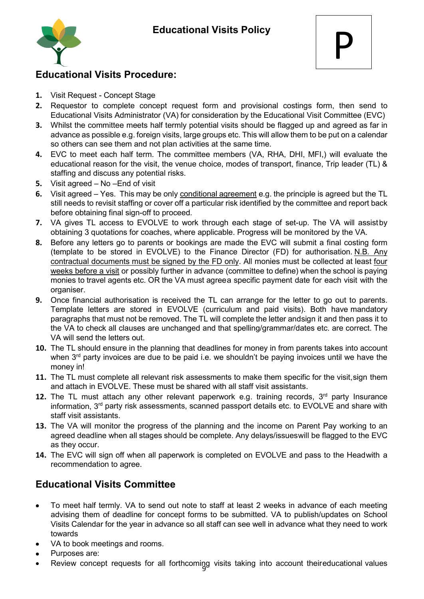

## **Educational Visits Procedure:**

- **1.** Visit Request Concept Stage
- **2.** Requestor to complete concept request form and provisional costings form, then send to Educational Visits Administrator (VA) for consideration by the Educational Visit Committee (EVC)
- **3.** Whilst the committee meets half termly potential visits should be flagged up and agreed as far in advance as possible e.g. foreign visits, large groups etc. This will allow them to be put on a calendar so others can see them and not plan activities at the same time.
- **4.** EVC to meet each half term. The committee members (VA, RHA, DHI, MFI,) will evaluate the educational reason for the visit, the venue choice, modes of transport, finance, Trip leader (TL) & staffing and discuss any potential risks.
- **5.** Visit agreed No –End of visit
- **6.** Visit agreed Yes. This may be only conditional agreement e.g. the principle is agreed but the TL still needs to revisit staffing or cover off a particular risk identified by the committee and report back before obtaining final sign-off to proceed.
- **7.** VA gives TL access to EVOLVE to work through each stage of set-up. The VA will assistby obtaining 3 quotations for coaches, where applicable. Progress will be monitored by the VA.
- **8.** Before any letters go to parents or bookings are made the EVC will submit a final costing form (template to be stored in EVOLVE) to the Finance Director (FD) for authorisation. N.B. Any contractual documents must be signed by the FD only. All monies must be collected at least four weeks before a visit or possibly further in advance (committee to define) when the school is paying monies to travel agents etc. OR the VA must agreea specific payment date for each visit with the organiser.
- **9.** Once financial authorisation is received the TL can arrange for the letter to go out to parents. Template letters are stored in EVOLVE (curriculum and paid visits). Both have mandatory paragraphs that must not be removed. The TL will complete the letter andsign it and then pass it to the VA to check all clauses are unchanged and that spelling/grammar/dates etc. are correct. The VA will send the letters out.
- **10.** The TL should ensure in the planning that deadlines for money in from parents takes into account when  $3<sup>rd</sup>$  party invoices are due to be paid i.e. we shouldn't be paying invoices until we have the money in!
- **11.** The TL must complete all relevant risk assessments to make them specific for the visit,sign them and attach in EVOLVE. These must be shared with all staff visit assistants.
- **12.** The TL must attach any other relevant paperwork e.g. training records, 3<sup>rd</sup> party Insurance information, 3<sup>rd</sup> party risk assessments, scanned passport details etc. to EVOLVE and share with staff visit assistants.
- **13.** The VA will monitor the progress of the planning and the income on Parent Pay working to an agreed deadline when all stages should be complete. Any delays/issueswill be flagged to the EVC as they occur.
- **14.** The EVC will sign off when all paperwork is completed on EVOLVE and pass to the Headwith a recommendation to agree.

# **Educational Visits Committee**

- To meet half termly. VA to send out note to staff at least 2 weeks in advance of each meeting advising them of deadline for concept forms to be submitted. VA to publish/updates on School Visits Calendar for the year in advance so all staff can see well in advance what they need to work towards
- VA to book meetings and rooms.
- Purposes are:
- 9 Review concept requests for all forthcoming visits taking into account theireducational values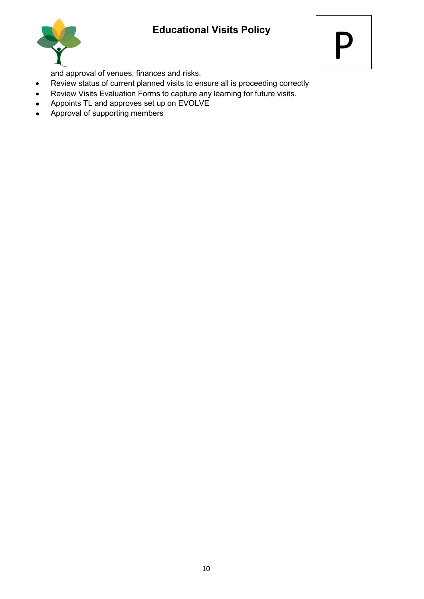



and approval of venues, finances and risks.

- Review status of current planned visits to ensure all is proceeding correctly
- Review Visits Evaluation Forms to capture any learning for future visits.
- Appoints TL and approves set up on EVOLVE
- Approval of supporting members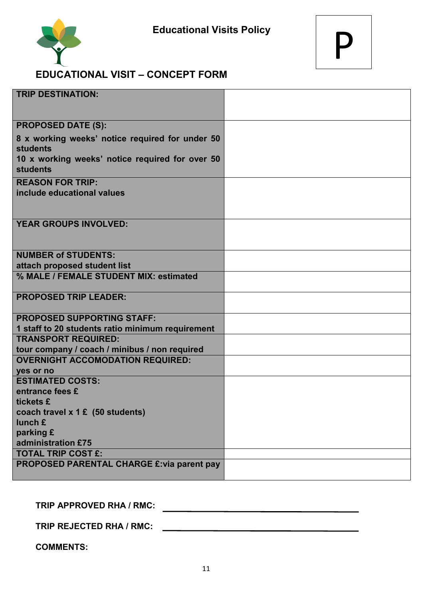

## **EDUCATIONAL VISIT – CONCEPT FORM**

| <b>TRIP DESTINATION:</b>                                           |  |
|--------------------------------------------------------------------|--|
|                                                                    |  |
| <b>PROPOSED DATE (S):</b>                                          |  |
| 8 x working weeks' notice required for under 50                    |  |
| <b>students</b>                                                    |  |
| 10 x working weeks' notice required for over 50<br><b>students</b> |  |
| <b>REASON FOR TRIP:</b>                                            |  |
| include educational values                                         |  |
|                                                                    |  |
| <b>YEAR GROUPS INVOLVED:</b>                                       |  |
|                                                                    |  |
| <b>NUMBER of STUDENTS:</b>                                         |  |
| attach proposed student list                                       |  |
| % MALE / FEMALE STUDENT MIX: estimated                             |  |
| <b>PROPOSED TRIP LEADER:</b>                                       |  |
| <b>PROPOSED SUPPORTING STAFF:</b>                                  |  |
| 1 staff to 20 students ratio minimum requirement                   |  |
| <b>TRANSPORT REQUIRED:</b>                                         |  |
| tour company / coach / minibus / non required                      |  |
| <b>OVERNIGHT ACCOMODATION REQUIRED:</b>                            |  |
| yes or no                                                          |  |
| <b>ESTIMATED COSTS:</b>                                            |  |
| entrance fees £                                                    |  |
| tickets £                                                          |  |
| coach travel x 1 £ (50 students)<br>lunch £                        |  |
| parking £                                                          |  |
| administration £75                                                 |  |
| <b>TOTAL TRIP COST £:</b>                                          |  |
| <b>PROPOSED PARENTAL CHARGE £: via parent pay</b>                  |  |
|                                                                    |  |

**TRIP APPROVED RHA / RMC:** 

**TRIP REJECTED RHA / RMC:**

**COMMENTS:**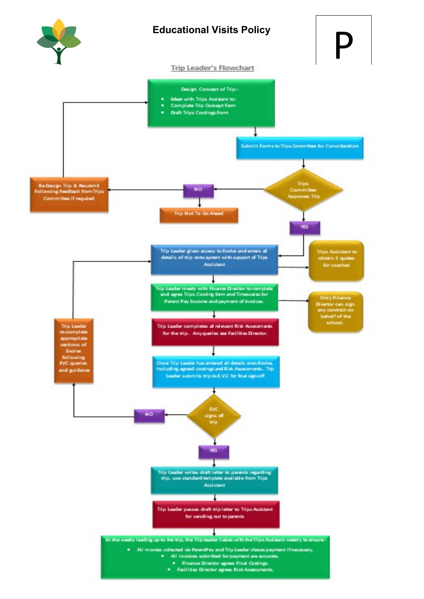